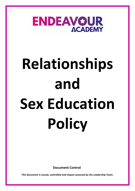

# **Relationships and Sex Education Policy**

**Document Control**

**This document is issued, controlled and impact assessed by the Leadership Team.**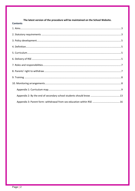<span id="page-1-0"></span>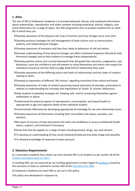## **1. Aims**

The aim of RSE at Endeavour Academy is to provide balanced, factual, and nonbiased information about relationships, reproduction and wider contexts including emotional, ethical, religious, and moral dimensions for a range of topics. Our RSE programme aims to prepare students for an adult life in which they can:

- Develop awareness of the physical self, how it functions and how changes occur over time.
- Develop practical strategies for self-management of body actions such as menstruation, puberty, and related physical changes.
- Develop awareness of emotions and how they relate to behaviour of self and others.
- Develop understanding of how physical changes can affect emotional responses (female & male hormonal changes) and to help students to manage these independently.
- $\sum$  Develop positive values and a moral framework that will guide their decisions, judgements, and behaviour; have the confidence and self-esteem to value themselves and others and respect for individual conscience and the skills to judge what kind of relationship they want.
- Develop awareness of the differing nature and levels of relationships and the codes of conduct relating to them.
- Develop an awareness of different 'life choices' regarding transitions from school and home.
- Develop awareness of codes of conduct governing sexual expression & sexuality, particularly in relation to understanding the concepts and implications of 'public' & 'private' behaviours.
- Help students to develop strategies for 'keeping safe' and for protecting themselves against exploitation or abuse.
- Understand the physical aspects of reproduction, contraception, and sexual health as appropriate to age and cognitive ability of the individual student.
- Communicate effectively by developing appropriate terminology for sex and relationship issues.
- Develop awareness of themselves including their core beliefs and values, sexuality, and opinions.
- Be aware of sources of help and acquire the skills and confidence to access confidential health advice, support, and treatment if necessary
- Know how the law applies to a range of topic including alcohol, drugs, sex, and consent.
- To develop an understanding of how social networks/media portray body image and sexuality.
- To develop knowledge of responses to peer pressure.

## <span id="page-2-0"></span>**2. Statutory Requirements**

As a secondary academy free school, we must provide RSE to all students as per section 34 of the [Children and Social work act 2017.](http://www.legislation.gov.uk/ukpga/2017/16/section/34/enacted)

In teaching RSE, we are required by our funding agreements to have regard to [guidance](https://www.gov.uk/government/consultations/relationships-and-sex-education-and-health-education) issued by the secretary of state as outlined in section 403 of the **Education Act 1996**.

At Endeavour Academy we teach RSE as set out in this policy.

This policy was developed in response to: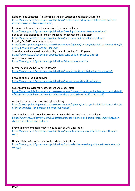Relationships Education, Relationships and Sex Education and Health Education [https://www.gov.uk/government/publications/relationships-education-relationships-and-sex](https://www.gov.uk/government/publications/relationships-education-relationships-and-sex-education-rse-and-health-education)[education-rse-and-health-education](https://www.gov.uk/government/publications/relationships-education-relationships-and-sex-education-rse-and-health-education)

Keeping children safe in education: for schools and colleges;

<https://www.gov.uk/government/publications/keeping-children-safe-in-education--2>

Behaviour and discipline in schools: guidance for headteachers and staff

<https://www.gov.uk/government/publications/behaviour-and-discipline-in-schools>

Equality Act 2010: advice for schools

[https://assets.publishing.service.gov.uk/government/uploads/system/uploads/attachment\\_data/fil](https://assets.publishing.service.gov.uk/government/uploads/system/uploads/attachment_data/file/315587/Equality_Act_Advice_Final.pdf) [e/315587/Equality\\_Act\\_Advice\\_Final.pdf](https://assets.publishing.service.gov.uk/government/uploads/system/uploads/attachment_data/file/315587/Equality_Act_Advice_Final.pdf)

Special educational needs and disability code of practice: 0 to 25 years

<https://www.gov.uk/government/publications/send-code-of-practice-0-to-25> Alternative provision

<https://www.gov.uk/government/publications/alternative-provision>

Mental health and behaviour in schools

<https://www.gov.uk/government/publications/mental-health-and-behaviour-in-schools--2>

Preventing and tackling bullying

<https://www.gov.uk/government/publications/preventing-and-tackling-bullying>

Cyber bullying: advice for headteachers and school staff

[https://assets.publishing.service.gov.uk/government/uploads/system/uploads/attachment\\_data/fil](https://assets.publishing.service.gov.uk/government/uploads/system/uploads/attachment_data/file/374850/Cyberbullying_Advice_for_Headteachers_and_School_Staff_121114.pdf) e/374850/Cyberbullying Advice for Headteachers and School Staff 121114.pdf

Advice for parents and carers on cyber bullying

[https://assets.publishing.service.gov.uk/government/uploads/system/uploads/attachment\\_data/fil](https://assets.publishing.service.gov.uk/government/uploads/system/uploads/attachment_data/file/444865/Advice_for_parents_on_cyberbullying.pdf) e/444865/Advice for parents on cyberbullying.pdf

Sexual violence and sexual harassment between children in schools and colleges [https://www.gov.uk/government/publications/sexual-violence-and-sexual-harassment-between](https://www.gov.uk/government/publications/sexual-violence-and-sexual-harassment-between-children-in-schools-and-colleges)[children-in-schools-and-colleges](https://www.gov.uk/government/publications/sexual-violence-and-sexual-harassment-between-children-in-schools-and-colleges)

Promoting fundamental British values as part of SMSC in schools [https://www.gov.uk/government/publications/promoting-fundamental-british-values-through](https://www.gov.uk/government/publications/promoting-fundamental-british-values-through-smsc)[smsc](https://www.gov.uk/government/publications/promoting-fundamental-british-values-through-smsc)

National Citizen Service: guidance for schools and colleges [https://www.gov.uk/government/publications/national-citizen-service-guidance-for-schools-and](https://www.gov.uk/government/publications/national-citizen-service-guidance-for-schools-and-colleges)[colleges](https://www.gov.uk/government/publications/national-citizen-service-guidance-for-schools-and-colleges)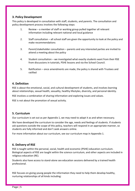# <span id="page-4-0"></span>**3. Policy Development**

This policy is developed in consultation with staff, students, and parents. The consultation and policy development process involves the following steps:

- 1. Review a member of staff or working group pulled together all relevant information including relevant national and local guidance
- 2. Staff consultation all school staff are given the opportunity to look at the policy and make recommendations
- 3. Parent/stakeholder consultation parents and any interested parties are invited to attend a meeting about the policy
- 4. Student consultation we investigated what exactly students want from their RSE from discussions in tutorials, PSHE lessons and via the School Council.
- 5. Ratification once amendments are made, the policy is shared with Trustees and ratified

## <span id="page-4-1"></span>**4. Definition**

RSE is about the emotional, social, and cultural development of students, and involves learning about relationships, sexual health, sexuality, healthy lifestyles, diversity, and personal identity.

RSE involves a combination of sharing information and exploring issues and values.

<span id="page-4-2"></span>RSE is not about the promotion of sexual activity.

## **5. Curriculum**

Our curriculum is set out as per Appendix 1, we may need to adapt it as and when necessary.

We have developed the curriculum to consider the age, needs and feelings of students. If students ask questions outside the scope of this policy, teachers will respond in an appropriate manner, so students are fully informed and don't seek answers online.

For more information about our curriculum, see our curriculum map in Appendix 1.

## <span id="page-4-3"></span>**6. Delivery of RSE**

RSE is taught within the personal, social, health and economic (PSHE) education curriculum. Biological aspects of RSE are taught within the science curriculum, and other aspects are included in religious education (RE).

Students also have access to stand-alone sex education sessions delivered by a trained health professional.

RSE focuses on giving young people the information they need to help them develop healthy, nurturing relationships of all kinds including: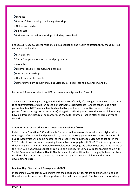Families

Respectful relationships, including friendships

> Online and media

>Being safe

Intimate and sexual relationships, including sexual health.

Endeavour Academy deliver relationship, sex education and health education throughout our KS4 curriculum and within:

- PSHE lessons
- Tutor Groups and related pastoral programmes
- >Assemblies
- External speakers, dramas, and agencies
- Interactive workshops
- > Health care professionals
- Other curriculum delivery including Science, ICT, Food Technology, English, and PE.

For more information about our RSE curriculum, see Appendices 1 and 2.

These areas of learning are taught within the context of family life taking care to ensure that there is no stigmatisation of children based on their home circumstances (families can include single parent families, LGBT parents, families headed by grandparents, adoptive parents, foster parents/carers amongst other structures) along with reflecting sensitively that some children may have a different structure of support around them (for example: looked after children or young carers).

#### **Students with special educational needs and disabilities (SEND)**

Relationships Education, RSE and Health Education will be accessible for all pupils. High quality teaching is differentiated and personalised, this is the starting point to ensure accessibility for all pupils. Academies will also be mindful of the preparing for adulthood outcomes as set out in the SEND code of practice, when preparing these subjects for pupils with SEND. The Academy is aware that some pupils are more vulnerable to exploitation, bullying and other issues due to the nature of their SEND. Relationships Education can also be a priority for some pupils, for example some with Social, Emotional and Mental Health Needs or learning disabilities. For some pupils there may be a need to tailor content and teaching to meeting the specific needs of children at different development stages.

#### **Lesbian, Gay, Bisexual and Transgender (LGBT)**

In teaching RSE, Academies will ensure that the needs of all students are appropriately met, and that all students understand the importance of equality and respect. The Trust and the Academy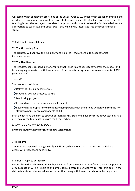will comply with all relevant provisions of the Equality Act 2010, under which sexual orientation and gender reassignment are amongst the protected characteristics. The Academy will ensure that all teaching is sensitive and age appropriate in approach and content. When the Academy decides it is appropriate to teach students about LGBT, this will be fully integrated into the programmes of study.

#### <span id="page-6-0"></span>**7. Roles and responsibilities**

#### **7.1 The Governing Board**

The Trustees will approve the RSE policy and hold the Head of School to account for its implementation.

#### **7.2 The Headteacher**

The Headteacher is responsible for ensuring that RSE is taught consistently across the school, and for managing requests to withdraw students from non-statutory/non-science components of RSE (see section 8).

#### **7.3 Staff**

Staff are responsible for:

- Delivering RSE in a sensitive way
- Modelling positive attitudes to RSE
- Monitoring progress
- $\blacktriangleright$  Responding to the needs of individual students
- Responding appropriately to students whose parents wish them to be withdrawn from the nonstatutory/non-science components of RSE

Staff do not have the right to opt out of teaching RSE. Staff who have concerns about teaching RSE are encouraged to discuss this with the headteacher.

#### *Lead Teacher for RSE: Mr M Cullen*

*Learning Support Assistant for RSE: Mrs L Rosamond* 

#### **7.4 Students**

Students are expected to engage fully in RSE and, when discussing issues related to RSE, treat others with respect and sensitivity.

#### <span id="page-6-1"></span>**8. Parents' right to withdraw**

Parents have the right to withdraw their children from the non-statutory/non-science components of sex education within RSE up to and until 3 terms before the child turns 16. After this point, if the child wishes to receive sex education rather than being withdrawn, the school will arrange this.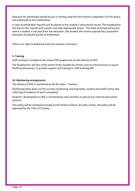Requests for withdrawal should be put in writing using the form found in Appendix 3 of this policy and addressed to the headteacher.

A copy of withdrawal requests will be placed in the student's educational record. The headteacher will discuss the request with parents and take appropriate action. The Head of School will ensure where a student is excused from sex education, the student will receive appropriate, purposeful education during the period of withdrawal.

<span id="page-7-0"></span>There is no right to withdraw from the national curriculum.

#### **9. Training**

Staff training is included in the school CPD programme on the delivery of RSE.

The headteacher will also invite visitors from outside the school, such as school nurses or sexual health professionals, to provide support and training to staff teaching RSE.

#### <span id="page-7-1"></span>**10. Monitoring arrangements**

The delivery of RSE is monitored by Mr M Cullen – Teacher.

Monitoring takes place via the scrutiny of planning, learning walks, student and staff surveys and collecting of evidence of work completed.

Students' development in RSE is monitored by class teachers as part of our internal assessment systems.

This policy will be reviewed annually by the Head of School. At every review, the policy will be approved by the Chair of Trustees.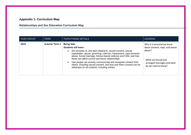# **Appendix 1: Curriculum Map**

# **Relationships and Sex Education Curriculum Map**

<span id="page-8-0"></span>

| <b>YEAR GROUP</b> | <b>TERM</b>          | <b>TOPIC/THEME DETAILS</b>                                                                                                                                                                                                                                                                                                                                                                                                                                                                              | <b>LESSONS</b>                                                                                                                                        |
|-------------------|----------------------|---------------------------------------------------------------------------------------------------------------------------------------------------------------------------------------------------------------------------------------------------------------------------------------------------------------------------------------------------------------------------------------------------------------------------------------------------------------------------------------------------------|-------------------------------------------------------------------------------------------------------------------------------------------------------|
| 10/11             | <b>Autumn Term 1</b> | <b>Being Safe</b><br><b>Students will learn:</b><br>the concepts of, and laws relating to, sexual consent, sexual<br>exploitation, abuse, grooming, coercion, harassment, rape domestic<br>abuse, forced marriage, honour-based violence and FGM, and how<br>these can affect current and future relationships.<br>how people can actively communicate and recognise consent from<br>others, including sexual consent, and how and when consent can be<br>withdrawn (in all contexts, including online) | Why is it essential we know<br>about consent, rape, and sexual<br>abuse?<br>What are forced and<br>arranged marriages and what<br>do we need to know? |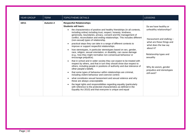| YEAR GROUP | <b>TERM</b> | <b>TOPIC/THEME DETAILS</b>                                                                                                                                                                                                                                                                                                                                                                                                                                                                                                                                                                                                                                                                                                                                                                                                                                                                                                                                                                                                                                                                                                                                                                                                                                                                                                                                                                                                                                                           | <b>LESSONS</b>                                                                                                                                                                                                                                                 |
|------------|-------------|--------------------------------------------------------------------------------------------------------------------------------------------------------------------------------------------------------------------------------------------------------------------------------------------------------------------------------------------------------------------------------------------------------------------------------------------------------------------------------------------------------------------------------------------------------------------------------------------------------------------------------------------------------------------------------------------------------------------------------------------------------------------------------------------------------------------------------------------------------------------------------------------------------------------------------------------------------------------------------------------------------------------------------------------------------------------------------------------------------------------------------------------------------------------------------------------------------------------------------------------------------------------------------------------------------------------------------------------------------------------------------------------------------------------------------------------------------------------------------------|----------------------------------------------------------------------------------------------------------------------------------------------------------------------------------------------------------------------------------------------------------------|
| 10/11      | Autumn 2    | <b>Respectful Relationships</b><br><b>Students will learn:</b><br>the characteristics of positive and healthy friendships (in all contexts,<br>$\bullet$<br>including online) including trust, respect, honesty, kindness,<br>generosity, boundaries, privacy, consent and the management of<br>conflict, reconciliation and ending relationships. This includes different<br>(non-sexual) types of relationship.<br>practical steps they can take in a range of different contexts to<br>improve or support respectful relationships.<br>how stereotypes, in particular stereotypes based on sex, gender,<br>race, religion, sexual orientation, or disability, can cause damage<br>(e.g., how they might normalise non-consensual behaviour or<br>encourage prejudice).<br>that in school and in wider society they can expect to be treated with<br>respect by others, and that in turn they should show due respect to<br>others, including people in positions of authority and due tolerance of<br>other people's beliefs.<br>that some types of behaviour within relationships are criminal,<br>including violent behaviour and coercive control.<br>what constitutes sexual harassment and sexual violence and why<br>these are always unacceptable.<br>the legal rights and responsibilities regarding equality (particularly<br>$\bullet$<br>with reference to the protected characteristics as defined in the<br>Equality Act 2010) and that everyone is unique and equal | Do we have healthy or<br>unhealthy relationships?<br>Harassment and stalking -<br>what are these things and<br>what does the law say<br>about it?<br>Relationship types and<br>sexuality<br>Why do sexism, gender<br>prejudice and stereotypes<br>still exist? |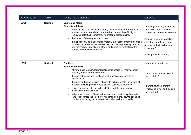| <b>YEAR GROUP</b> | <b>TERM</b>     | <b>TOPIC/THEME DETAILS</b>                                                                                                                                                                                                                                                                                                                                                                                                                                                                                                                                                                                                                                                                                               | <b>LESSONS</b>                                                                                                                                                                                                              |
|-------------------|-----------------|--------------------------------------------------------------------------------------------------------------------------------------------------------------------------------------------------------------------------------------------------------------------------------------------------------------------------------------------------------------------------------------------------------------------------------------------------------------------------------------------------------------------------------------------------------------------------------------------------------------------------------------------------------------------------------------------------------------------------|-----------------------------------------------------------------------------------------------------------------------------------------------------------------------------------------------------------------------------|
| 10/11             | Spring 1        | <b>Online and Media</b><br><b>Students will learn:</b><br>about online risks, including that any material someone provides to<br>another has the potential to be shared online and the difficulty of<br>removing potentially compromising material placed online.<br>the impact of viewing harmful content.<br>that specifically sexually explicit material e.g., pornography presents a<br>distorted picture of sexual behaviours, can damage the way people<br>see themselves in relation to others and negatively affect how they<br>behave towards sexual partner.                                                                                                                                                   | Revenge Porn - what is this<br>and how can we prevent<br>ourselves from being victims?<br>How can we make ourselves<br>and other people feel more<br>positive and why is happiness<br>important?<br>Bullying - Body Shaming |
| 10/11             | <b>Spring 2</b> | <b>Families</b><br><b>Students will learn:</b><br>why marriage is an important relationship choice for many couples<br>and why it must be freely entered.<br>the characteristics and legal status of other types of long-term<br>relationships.<br>the roles and responsibilities of parents with respect to the raising of<br>children, including the characteristics of successful parenting.<br>how to determine whether other children, adults or sources of<br>information are trustworthy.<br>judge when a family, friend, intimate or other relationship is unsafe<br>(and to recognise this in others' relationships); and, how to seek help<br>or advice, including reporting concerns about others, if needed. | <b>Relationship Break Ups</b><br>How can we manage conflict<br>successfully?<br>Parenting, the different<br>types, and styles and looking<br>after a child.                                                                 |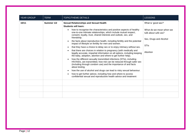| <b>YEAR GROUP</b> | <b>TERM</b> | <b>TOPIC/THEME DETAILS</b>                                                                                                                                                                                                      | LESSONS                                         |
|-------------------|-------------|---------------------------------------------------------------------------------------------------------------------------------------------------------------------------------------------------------------------------------|-------------------------------------------------|
| 10/11             | Summer 1/2  | <b>Sexual Relationships and Sexual Health</b><br><b>Students will learn:</b>                                                                                                                                                    | What is 'good sex?'                             |
|                   |             | how to recognise the characteristics and positive aspects of healthy<br>one-to-one intimate relationships, which include mutual respect,<br>consent, loyalty, trust, shared interests and outlook, sex, and                     | What do we mean when we<br>talk about safe sex? |
|                   |             | friendship.<br>the facts about reproductive health, including fertility and the potential<br>impact of lifestyle on fertility for men and women.                                                                                | Sex, Drugs and Alcohol                          |
|                   |             | that they have a choice to delay sex or to enjoy intimacy without sex.                                                                                                                                                          | <b>STIs</b>                                     |
|                   |             | that there are choices in relation to pregnancy (with medically and<br>legally accurate, impartial information on all options, including keeping<br>the baby, adoption, abortion and where to get further help).                | Abortion                                        |
|                   |             | how the different sexually transmitted infections (STIs), including<br>HIV/AIDs, are transmitted, how risk can be reduced through safer sex<br>(including through condom use) and the importance of and facts<br>about testing. |                                                 |
|                   |             | how the use of alcohol and drugs can lead to risky sexual behaviour.                                                                                                                                                            |                                                 |
|                   |             | how to get further advice, including how and where to access<br>confidential sexual and reproductive health advice and treatment                                                                                                |                                                 |
|                   |             |                                                                                                                                                                                                                                 |                                                 |
|                   |             |                                                                                                                                                                                                                                 |                                                 |
|                   |             |                                                                                                                                                                                                                                 |                                                 |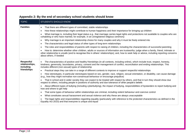<span id="page-12-0"></span>

| <b>TOPIC</b>                                                    | <b>STUDENTS SHOULD KNOW</b>                                                                                                                                                                                                                                                                                                                                                                                                                                                                                                                                                                                                                                                                                                                                                                                                                                                                                                                                                                                                                                                                                                                                                                                                                                                                                                                                                                                                                                                                                                                                                                           |
|-----------------------------------------------------------------|-------------------------------------------------------------------------------------------------------------------------------------------------------------------------------------------------------------------------------------------------------------------------------------------------------------------------------------------------------------------------------------------------------------------------------------------------------------------------------------------------------------------------------------------------------------------------------------------------------------------------------------------------------------------------------------------------------------------------------------------------------------------------------------------------------------------------------------------------------------------------------------------------------------------------------------------------------------------------------------------------------------------------------------------------------------------------------------------------------------------------------------------------------------------------------------------------------------------------------------------------------------------------------------------------------------------------------------------------------------------------------------------------------------------------------------------------------------------------------------------------------------------------------------------------------------------------------------------------------|
| <b>Families</b>                                                 | That there are different types of committed, stable relationships<br>$\bullet$<br>How these relationships might contribute to human happiness and their importance for bringing up children<br>$\bullet$<br>What marriage is, including their legal status e.g., that marriage carries legal rights and protections not available to couples who are<br>$\bullet$<br>cohabiting or who have married, for example, in an unregistered religious ceremony<br>Why marriage is an important relationship choice for many couples and why it must be freely entered into<br>$\bullet$<br>The characteristics and legal status of other types of long-term relationships<br>$\bullet$<br>The roles and responsibilities of parents with respect to raising of children, including the characteristics of successful parenting<br>$\bullet$<br>How to: determine whether other children, adults or sources of information are trustworthy: judge when a family, friend, intimate or<br>$\bullet$<br>other relationship is unsafe (and to recognise this in others' relationships); and, how to seek help or advice, including reporting concerns<br>about others, if needed                                                                                                                                                                                                                                                                                                                                                                                                                                  |
| <b>Respectful</b><br>relationships,<br>including<br>friendships | The characteristics of positive and healthy friendships (in all contexts, including online), which include trust, respect, honesty,<br>$\bullet$<br>kindness, generosity, boundaries, privacy, consent and the management of conflict, reconciliation and ending relationships. This<br>includes different (non-sexual) types of relationship<br>Practical steps they can take in a range of different contexts to improve or support respectful relationships<br>$\bullet$<br>How stereotypes, in particular stereotypes based on sex, gender, race, religion, sexual orientation, or disability, can cause damage<br>$\bullet$<br>(e.g., how they might normalise non-consensual behaviour or encourage prejudice)<br>That in school and in wider society they can expect to be treated with respect by others, and that in turn they should show due<br>respect to others, including people in positions of authority and due tolerance of other people's beliefs<br>About different types of bullying (including cyberbullying), the impact of bullying, responsibilities of bystanders to report bullying and<br>how and where to get help<br>That some types of behaviour within relationships are criminal, including violent behaviour and coercive control<br>$\bullet$<br>What constitutes sexual harassment and sexual violence and why these are always unacceptable<br>$\bullet$<br>The legal rights and responsibilities regarding equality (particularly with reference to the protected characteristics as defined in the<br>Equality Act 2010) and that everyone is unique and equal |

# **Appendix 2: By the end of secondary school students should know**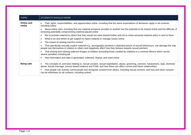| <b>TOPIC</b>        | <b>STUDENTS SHOULD KNOW</b>                                                                                                                                                                                                                           |
|---------------------|-------------------------------------------------------------------------------------------------------------------------------------------------------------------------------------------------------------------------------------------------------|
| Online and<br>media | Their rights, responsibilities, and opportunities online, including that the same expectations of behaviour apply in all contexts,<br>including online                                                                                                |
|                     | About online risks, including that any material someone provides to another has the potential to be shared online and the difficulty of<br>removing potentially compromising material placed online                                                   |
|                     | Not to provide material to others that they would not want shared further and not to share personal material which is sent to them<br>$\bullet$                                                                                                       |
|                     | What to do and where to get support to report material or manage issues online<br>٠                                                                                                                                                                   |
|                     | The impact of viewing harmful content                                                                                                                                                                                                                 |
|                     | That specifically sexually explicit material e.g., pornography presents a distorted picture of sexual behaviours, can damage the way<br>people see themselves in relation to others and negatively affect how they behave towards sexual partners     |
|                     | That sharing and viewing indecent images of children (including those created by children) is a criminal offence which carries<br>severe penalties including jail                                                                                     |
|                     | How information and data is generated, collected, shared, and used online                                                                                                                                                                             |
| <b>Being safe</b>   | The concepts of, and laws relating to, sexual consent, sexual exploitation, abuse, grooming, coercion, harassment, rape, domestic<br>abuse, forced marriage, honour-based violence and FGM, and how these can affect current and future relationships |
|                     | How people can actively communicate and recognise consent from others, including sexual consent, and how and when consent<br>can be withdrawn (in all contexts, including online)                                                                     |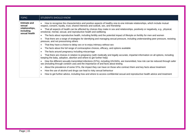| Intimate and<br>How to recognise the characteristics and positive aspects of healthy one-to-one intimate relationships, which include mutual<br>$\bullet$<br>respect, consent, loyalty, trust, shared interests and outlook, sex, and friendship<br>sexual<br>relationships,<br>That all aspects of health can be affected by choices they make in sex and relationships, positively or negatively, e.g., physical,<br>$\bullet$<br>including<br>emotional, mental, sexual, and reproductive health and wellbeing<br>sexual health                                                                                                                                                                                                                                                                                                                                                                                                                                                                                                                                                                                                                                                                                                                                                                                                                                                                                         |  |
|----------------------------------------------------------------------------------------------------------------------------------------------------------------------------------------------------------------------------------------------------------------------------------------------------------------------------------------------------------------------------------------------------------------------------------------------------------------------------------------------------------------------------------------------------------------------------------------------------------------------------------------------------------------------------------------------------------------------------------------------------------------------------------------------------------------------------------------------------------------------------------------------------------------------------------------------------------------------------------------------------------------------------------------------------------------------------------------------------------------------------------------------------------------------------------------------------------------------------------------------------------------------------------------------------------------------------------------------------------------------------------------------------------------------------|--|
| The facts about reproductive health, including fertility and the potential impact of lifestyle on fertility for men and women<br>$\bullet$<br>That there are a range of strategies for identifying and managing sexual pressure, including understanding peer pressure, resisting<br>pressure, and not pressurising others<br>That they have a choice to delay sex or to enjoy intimacy without sex<br>$\bullet$<br>The facts about the full range of contraceptive choices, efficacy, and options available<br>$\bullet$<br>The facts around pregnancy including miscarriage<br>$\bullet$<br>That there are choices in relation to pregnancy (with medically and legally accurate, impartial information on all options, including<br>$\bullet$<br>keeping the baby, adoption, abortion and where to get further help)<br>How the different sexually transmitted infections (STIs), including HIV/AIDs, are transmitted, how risk can be reduced through safer<br>sex (including through condom use) and the importance of and facts about testing<br>About the prevalence of some STIs, the impact they can have on those who contract them and key facts about treatment<br>$\bullet$<br>How the use of alcohol and drugs can lead to risky sexual behaviour<br>$\bullet$<br>How to get further advice, including how and where to access confidential sexual and reproductive health advice and treatment<br>$\bullet$ |  |